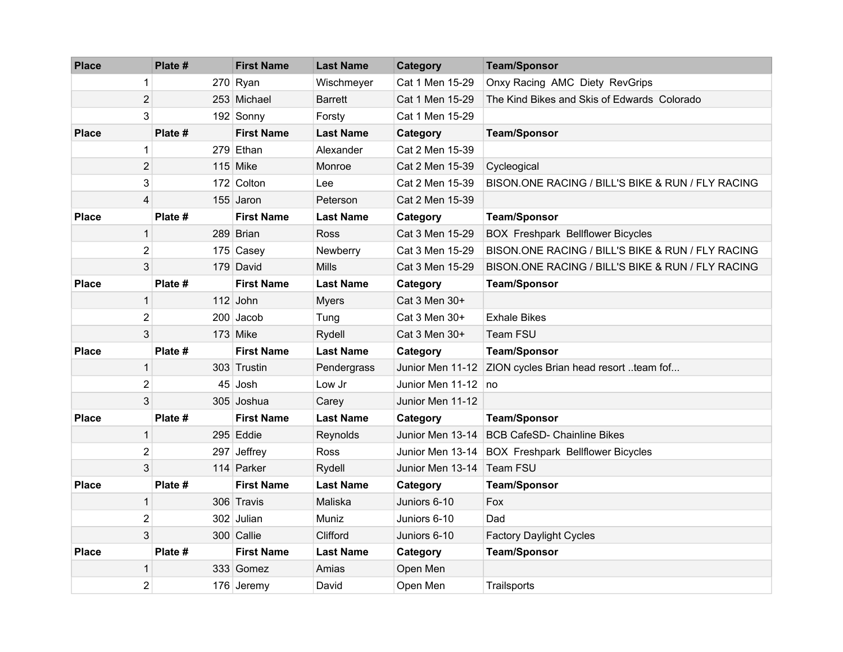| <b>Place</b> | Plate #        |  | <b>First Name</b> | <b>Last Name</b> | Category             | <b>Team/Sponsor</b>                               |  |
|--------------|----------------|--|-------------------|------------------|----------------------|---------------------------------------------------|--|
|              | 1              |  | 270 Ryan          | Wischmeyer       | Cat 1 Men 15-29      | Onxy Racing AMC Diety RevGrips                    |  |
|              | $\overline{2}$ |  | 253 Michael       | <b>Barrett</b>   | Cat 1 Men 15-29      | The Kind Bikes and Skis of Edwards Colorado       |  |
|              | 3              |  | 192 Sonny         | Forsty           | Cat 1 Men 15-29      |                                                   |  |
| <b>Place</b> | Plate #        |  | <b>First Name</b> | <b>Last Name</b> | Category             | <b>Team/Sponsor</b>                               |  |
|              | $\mathbf{1}$   |  | 279 Ethan         | Alexander        | Cat 2 Men 15-39      |                                                   |  |
|              | $\overline{2}$ |  | $115$ Mike        | Monroe           | Cat 2 Men 15-39      | Cycleogical                                       |  |
|              | 3              |  | 172 Colton        | Lee              | Cat 2 Men 15-39      | BISON.ONE RACING / BILL'S BIKE & RUN / FLY RACING |  |
|              | 4              |  | 155 Jaron         | Peterson         | Cat 2 Men 15-39      |                                                   |  |
| <b>Place</b> | Plate #        |  | <b>First Name</b> | <b>Last Name</b> | Category             | <b>Team/Sponsor</b>                               |  |
|              | $\mathbf{1}$   |  | 289 Brian         | <b>Ross</b>      | Cat 3 Men 15-29      | <b>BOX Freshpark Bellflower Bicycles</b>          |  |
|              | $\overline{2}$ |  | 175 Casey         | Newberry         | Cat 3 Men 15-29      | BISON.ONE RACING / BILL'S BIKE & RUN / FLY RACING |  |
|              | 3              |  | 179 David         | <b>Mills</b>     | Cat 3 Men 15-29      | BISON.ONE RACING / BILL'S BIKE & RUN / FLY RACING |  |
| <b>Place</b> | Plate #        |  | <b>First Name</b> | <b>Last Name</b> | Category             | <b>Team/Sponsor</b>                               |  |
|              | $\mathbf{1}$   |  | 112 John          | <b>Myers</b>     | Cat 3 Men 30+        |                                                   |  |
|              | $\overline{2}$ |  | 200 Jacob         | Tung             | Cat 3 Men 30+        | <b>Exhale Bikes</b>                               |  |
|              | 3              |  | $173$ Mike        | Rydell           | Cat 3 Men 30+        | Team FSU                                          |  |
| <b>Place</b> | Plate #        |  | <b>First Name</b> | <b>Last Name</b> | Category             | <b>Team/Sponsor</b>                               |  |
|              | $\mathbf{1}$   |  | 303 Trustin       | Pendergrass      | Junior Men 11-12     | ZION cycles Brian head resort team fof            |  |
|              | $\overline{2}$ |  | 45∣Josh           | Low Jr           | Junior Men 11-12 ⊺no |                                                   |  |
|              | 3              |  | 305 Joshua        | Carey            | Junior Men 11-12     |                                                   |  |
| <b>Place</b> | Plate #        |  | <b>First Name</b> | <b>Last Name</b> | Category             | <b>Team/Sponsor</b>                               |  |
|              | $\mathbf{1}$   |  | 295 Eddie         | Reynolds         | Junior Men 13-14     | <b>BCB CafeSD- Chainline Bikes</b>                |  |
|              | $\overline{2}$ |  | 297 Jeffrey       | Ross             | Junior Men 13-14     | <b>BOX Freshpark Bellflower Bicycles</b>          |  |
|              | 3              |  | 114 Parker        | Rydell           | Junior Men 13-14     | <b>Team FSU</b>                                   |  |
| <b>Place</b> | Plate #        |  | <b>First Name</b> | <b>Last Name</b> | Category             | <b>Team/Sponsor</b>                               |  |
|              | $\mathbf{1}$   |  | 306 Travis        | Maliska          | Juniors 6-10         | Fox                                               |  |
|              | 2              |  | 302 Julian        | Muniz            | Juniors 6-10         | Dad                                               |  |
|              | 3              |  | 300 Callie        | Clifford         | Juniors 6-10         | <b>Factory Daylight Cycles</b>                    |  |
| <b>Place</b> | Plate #        |  | <b>First Name</b> | <b>Last Name</b> | Category             | <b>Team/Sponsor</b>                               |  |
|              | $\mathbf{1}$   |  | 333 Gomez         | Amias            | Open Men             |                                                   |  |
|              | $\overline{2}$ |  | 176 Jeremy        | David            | Open Men             | Trailsports                                       |  |